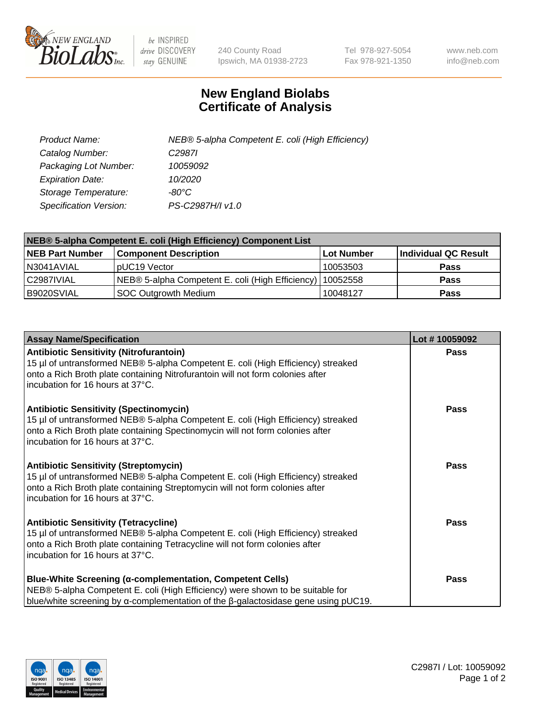

 $be$  INSPIRED drive DISCOVERY stay GENUINE

240 County Road Ipswich, MA 01938-2723 Tel 978-927-5054 Fax 978-921-1350 www.neb.com info@neb.com

## **New England Biolabs Certificate of Analysis**

| Product Name:           | NEB® 5-alpha Competent E. coli (High Efficiency) |
|-------------------------|--------------------------------------------------|
| Catalog Number:         | C <sub>2987</sub>                                |
| Packaging Lot Number:   | 10059092                                         |
| <b>Expiration Date:</b> | 10/2020                                          |
| Storage Temperature:    | -80°C                                            |
| Specification Version:  | PS-C2987H/I v1.0                                 |

| NEB® 5-alpha Competent E. coli (High Efficiency) Component List |                                                  |            |                      |  |
|-----------------------------------------------------------------|--------------------------------------------------|------------|----------------------|--|
| <b>NEB Part Number</b>                                          | <b>Component Description</b>                     | Lot Number | Individual QC Result |  |
| N3041AVIAL                                                      | pUC19 Vector                                     | 10053503   | <b>Pass</b>          |  |
| C2987IVIAL                                                      | NEB® 5-alpha Competent E. coli (High Efficiency) | 10052558   | <b>Pass</b>          |  |
| B9020SVIAL                                                      | SOC Outgrowth Medium                             | 10048127   | <b>Pass</b>          |  |

| <b>Assay Name/Specification</b>                                                                                                                                                                                                                          | Lot #10059092 |
|----------------------------------------------------------------------------------------------------------------------------------------------------------------------------------------------------------------------------------------------------------|---------------|
| <b>Antibiotic Sensitivity (Nitrofurantoin)</b><br>15 µl of untransformed NEB® 5-alpha Competent E. coli (High Efficiency) streaked<br>onto a Rich Broth plate containing Nitrofurantoin will not form colonies after<br>incubation for 16 hours at 37°C. | <b>Pass</b>   |
| <b>Antibiotic Sensitivity (Spectinomycin)</b><br>15 µl of untransformed NEB® 5-alpha Competent E. coli (High Efficiency) streaked<br>onto a Rich Broth plate containing Spectinomycin will not form colonies after<br>incubation for 16 hours at 37°C.   | <b>Pass</b>   |
| <b>Antibiotic Sensitivity (Streptomycin)</b><br>15 µl of untransformed NEB® 5-alpha Competent E. coli (High Efficiency) streaked<br>onto a Rich Broth plate containing Streptomycin will not form colonies after<br>incubation for 16 hours at 37°C.     | Pass          |
| <b>Antibiotic Sensitivity (Tetracycline)</b><br>15 µl of untransformed NEB® 5-alpha Competent E. coli (High Efficiency) streaked<br>onto a Rich Broth plate containing Tetracycline will not form colonies after<br>incubation for 16 hours at 37°C.     | <b>Pass</b>   |
| Blue-White Screening (α-complementation, Competent Cells)<br>NEB® 5-alpha Competent E. coli (High Efficiency) were shown to be suitable for<br>blue/white screening by $\alpha$ -complementation of the $\beta$ -galactosidase gene using pUC19.         | Pass          |